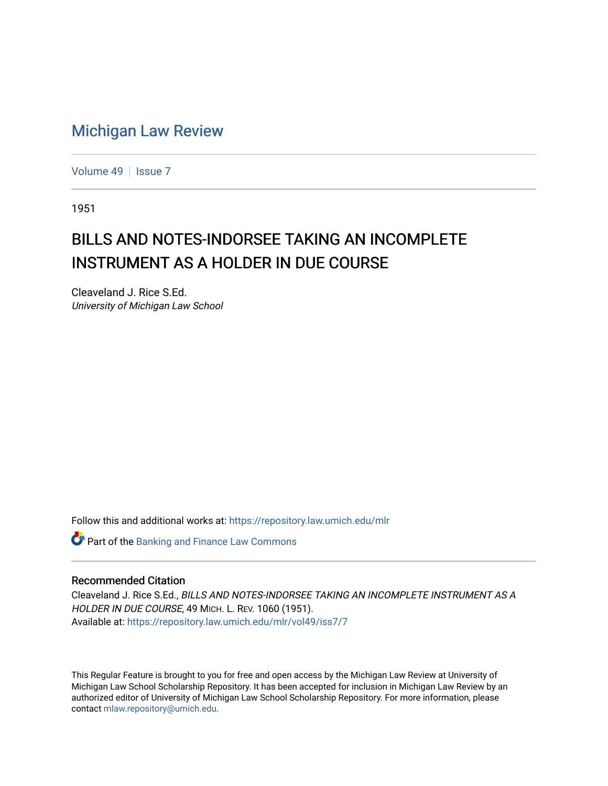## [Michigan Law Review](https://repository.law.umich.edu/mlr)

[Volume 49](https://repository.law.umich.edu/mlr/vol49) | [Issue 7](https://repository.law.umich.edu/mlr/vol49/iss7)

1951

## BILLS AND NOTES-INDORSEE TAKING AN INCOMPLETE INSTRUMENT AS A HOLDER IN DUE COURSE

Cleaveland J. Rice S.Ed. University of Michigan Law School

Follow this and additional works at: [https://repository.law.umich.edu/mlr](https://repository.law.umich.edu/mlr?utm_source=repository.law.umich.edu%2Fmlr%2Fvol49%2Fiss7%2F7&utm_medium=PDF&utm_campaign=PDFCoverPages) 

**Part of the Banking and Finance Law Commons** 

## Recommended Citation

Cleaveland J. Rice S.Ed., BILLS AND NOTES-INDORSEE TAKING AN INCOMPLETE INSTRUMENT AS A HOLDER IN DUE COURSE, 49 MICH. L. REV. 1060 (1951). Available at: [https://repository.law.umich.edu/mlr/vol49/iss7/7](https://repository.law.umich.edu/mlr/vol49/iss7/7?utm_source=repository.law.umich.edu%2Fmlr%2Fvol49%2Fiss7%2F7&utm_medium=PDF&utm_campaign=PDFCoverPages)

This Regular Feature is brought to you for free and open access by the Michigan Law Review at University of Michigan Law School Scholarship Repository. It has been accepted for inclusion in Michigan Law Review by an authorized editor of University of Michigan Law School Scholarship Repository. For more information, please contact [mlaw.repository@umich.edu](mailto:mlaw.repository@umich.edu).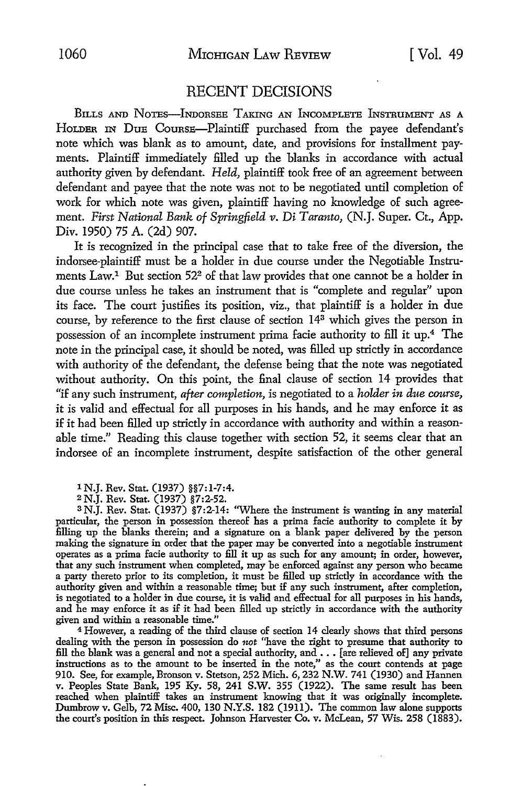## RECENT DECISIONS

BILLS AND NoTEs-INDoRSEE TAKING AN INCOMPLETE INSTRUMENT AS A HOLDER IN DuE CouRSE-Plaintiff purchased from the payee defendant's note which was blank as to amount, date, and provisions for installment payments. Plaintiff immediately filled up the blanks in accordance with actual authority given by defendant. *Held,* plaintiff took free of an agreement between defendant and payee that the note was not to be negotiated until completion of work for which note was given, plaintiff having no knowledge of such agreement. *First National Bank of Springfield v. Di Taranto,* (N.J. Super. Ct., App. Div. 1950) 75 A. (2d) 907.

It is recognized in the principal case that to take free of the diversion, the indorsee-plaintiff must be a holder in due course under the Negotiable Instruments Law.1 But section 522 of that law provides that one cannot be a holder in due course unless he takes an instrument that is "complete and regular" upon its face. The court justifies its position, viz., that plaintiff is a holder in due course, by reference to the first clause of section 143 which gives the person in possession of an incomplete instrument prima facie authority to fill it up.4 The note in the principal case, it should be noted, was filled up strictly in accordance with authority of the defendant, the defense being that the note was negotiated without authority. On this point, the final clause of section 14 provides that "if any such instrument, *after completion*, is negotiated to a *holder in due course*, it is valid and effectual for all purposes in his hands, and he may enforce it as if it had been filled up strictly in accordance with authority and within a reasonable time." Reading this clause together with section 52, it seems clear that an indorsee of an incomplete instrument, despite satisfaction of the other general

1 N.J. Rev. Stat. (1937) §§7: 1-7 :4.

2 N.J. Rev. Stat. (1937) §7 :2-52.

<sup>3</sup>N.J. Rev. Stat. (1937) §7:2-14: "Where the instrument is wanting in any material particular, the person in possession thereof has a prima facie authority to complete it by filling up the blanks therein; and a signature on a blank paper delivered by the person making the signature in order that the paper may be converted into a negotiable instrument operates as a prima facie authority to fill it up as such for any amount; in order, however, that any such instrument when completed, may be enforced against any person who became a party thereto prior to its completion, it must be filled up strictly in accordance with the authority given and within a reasonable time; but if any such instrument, after completion, is negotiated to a holder in due course, it is valid and effectual for all purposes in his hands, and he may enforce it as if it had been filled up strictly in accordance with the authority given and within a reasonable time."

<sup>4</sup>However, a reading of the third clause of section 14 clearly shows that third persons dealing with the person in possession do *not* "have the right to presume that authority to fill the blank was a general and not a special authority, and  $\ldots$  [are relieved of] any private instructions as to the amount to be inserted in the note," as the court contends at page 910. See, for example, Bronson v. Stetson, 252 Mich. 6,232 N.W. 741 (1930) and Hannen v. Peoples State Bank, 195 Ky. 58, 241 S.W. 355 (1922). The same result has been reached when plaintiff takes an instrument knowing that it was originally incomplete. Dumbrow v. Gelb, 72 Misc. 400, 130 N.Y.S. 182 (1911). The common law alone supports the court's position in this respect. Johnson Harvester Co. v. McLean, 57 Wis. 258 (1883).